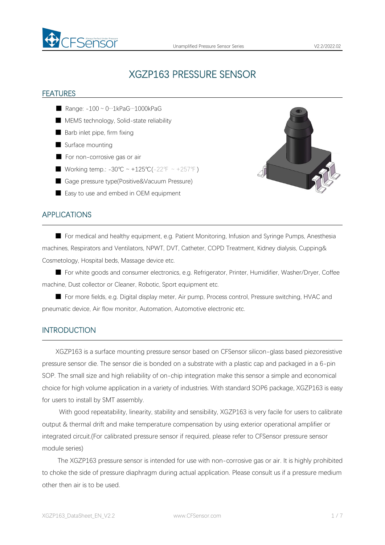

# XGZP163 PRESSURE SENSOR

#### FEATURES

- $\blacksquare$  Range: -100 ~ 0…1kPaG…1000kPaG
- MEMS technology, Solid-state reliability
- Barb inlet pipe, firm fixing
- Surface mounting
- For non-corrosive gas or air
- Working temp.: -30℃ ~ +125℃(-22°F ~ +257°F)
- Gage pressure type(Positive&Vacuum Pressure)
- Easy to use and embed in OEM equipment



#### APPLICATIONS

■ For medical and healthy equipment, e.g. Patient Monitoring, Infusion and Syringe Pumps, Anesthesia machines, Respirators and Ventilators, NPWT, DVT, Catheter, COPD Treatment, Kidney dialysis, Cupping& Cosmetology, Hospital beds, Massage device etc.

■ For white goods and consumer electronics, e.g. Refrigerator, Printer, Humidifier, Washer/Dryer, Coffee machine, Dust collector or Cleaner, Robotic, Sport equipment etc.

■ For more fields, e.g. Digital display meter, Air pump, Process control, Pressure switching, HVAC and pneumatic device, Air flow monitor, Automation, Automotive electronic etc.

#### INTRODUCTION

XGZP163 is a surface mounting pressure sensor based on CFSensor silicon-glass based piezoresistive pressure sensor die. The sensor die is bonded on a substrate with a plastic cap and packaged in a 6-pin SOP. The small size and high reliability of on-chip integration make this sensor a simple and economical choice for high volume application in avariety of industries. With standard SOP6 package, XGZP163 is easy for users to install by SMT assembly.

With good repeatability, linearity, stability and sensibility, XGZP163 is very facile for users to calibrate output & thermal drift and make temperature compensation by using exterior operational amplifier or integrated circuit.(For calibrated pressure sensor if required, please refer to CFSensor pressure sensor module series)

The XGZP163 pressure sensor is intended for use with non-corrosive gas orair. It is highly prohibited to choke the side of pressure diaphragm during actual application. Please consult us if a pressure medium other then air is to be used.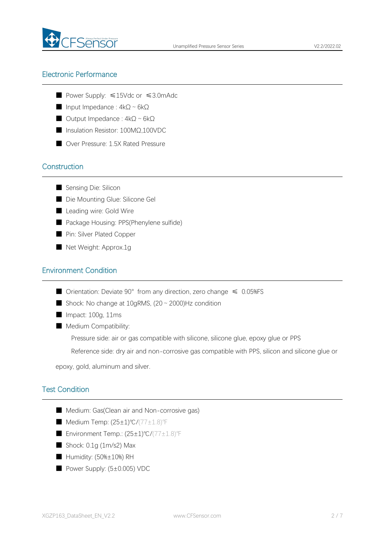

## Electronic Performance

- Power Supply: ≤15Vdc or ≤3.0mAdc
- Input Impedance : 4kΩ~6kΩ
- Output Impedance : 4kΩ~6kΩ
- Insulation Resistor: 100MΩ,100VDC
- Over Pressure: 1.5X Rated Pressure

## **Construction**

- Sensing Die: Silicon
- Die Mounting Glue: Silicone Gel
- Leading wire: Gold Wire
- Package Housing: PPS(Phenylene sulfide)
- Pin: Silver Plated Copper
- Net Weight: Approx.1g

#### Environment Condition

- Orientation: Deviate  $90^{\circ}$  from any direction, zero change  $\leq 0.05\%$ FS
- Shock: No change at  $10$ gRMS,  $(20 \sim 2000)$ Hz condition
- Impact: 100g, 11ms
- Medium Compatibility:
	- Pressure side: air or gas compatible with silicone, silicone glue, epoxy glue or PPS

Reference side: dry air and non-corrosive gas compatible with PPS, silicon and silicone glue or

epoxy, gold, aluminum and silver.

## Test Condition

- Medium: Gas(Clean air and Non-corrosive gas)
- Medium Temp: (25±1)℃/(77±1.8)°F
- Environment Temp.: (25±1)℃/(77±1.8)℉
- Shock: 0.1g (1m/s2) Max
- Humidity: (50%±10%) RH
- Power Supply: (5±0.005) VDC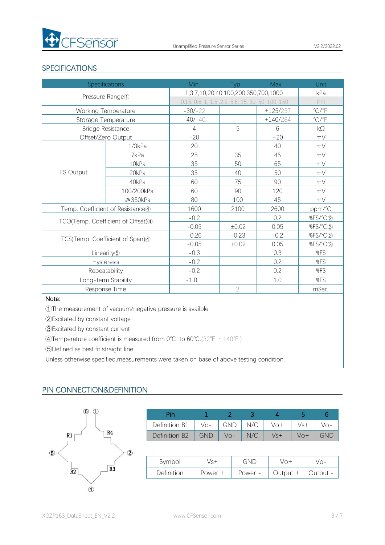

## SPECIFICATIONS

| <b>Specifications</b>            |                                   | Min.                                              | Typ.           | <b>Max</b> | Unit                    |
|----------------------------------|-----------------------------------|---------------------------------------------------|----------------|------------|-------------------------|
| Pressure Range <sup>1</sup>      |                                   | 1,3,7,10,20,40,100,200,350,700,1000               |                |            | kPa                     |
|                                  |                                   | 0.15, 0.6, 1, 1.5, 2.9, 5.8, 15, 30, 50, 100, 150 |                |            | PSI                     |
| Working Temperature              |                                   | $-30/-22$                                         |                | $+125/257$ | $\mathrm{C}/\mathrm{F}$ |
| Storage Temperature              |                                   | $-40/ - 40$                                       |                | $+140/284$ | $\mathrm{C}/\mathrm{C}$ |
| <b>Bridge Resistance</b>         |                                   | $\overline{4}$                                    | 5              | 6          | kΩ                      |
| Offset/Zero Output               |                                   | $-20$                                             |                | $+20$      | mV                      |
|                                  | 1/3kPa                            | 20                                                |                | 40         | mV                      |
|                                  | 7kPa                              | 25                                                | 35             | 45         | mV                      |
|                                  | 10kPa                             | 35                                                | 50             | 65         | mV                      |
| FS Output                        | 20kPa                             | 35                                                | 40             | 50         | mV                      |
|                                  | 40kPa                             | 60                                                | 75             | 90         | mV                      |
|                                  | 100/200kPa                        | 60                                                | 90             | 120        | mV                      |
|                                  | $\geq$ 350kPa                     | 80                                                | 100            | 45         | mV                      |
| Temp. Coefficient of Resistance4 |                                   | 1600                                              | 2100           | 2600       | ppm/°C                  |
|                                  |                                   | $-0.2$                                            |                | 0.2        | %FS/°C2                 |
|                                  | TCO(Temp. Coefficient of Offset)4 |                                                   | ±0.02          | 0.05       | %FS/°C3                 |
| TCS(Temp. Coefficient of Span)4  |                                   | $-0.26$                                           | $-0.23$        | $-0.2$     | %FS/°C2                 |
|                                  |                                   | $-0.05$                                           | ±0.02          | 0.05       | %FS/°C3                 |
| Linearity <sup>5</sup>           |                                   | $-0.3$                                            |                | 0.3        | %FS                     |
| Hysteresis                       |                                   | $-0.2$                                            |                | 0.2        | %FS                     |
| Repeatability                    |                                   | $-0.2$                                            |                | 0.2        | %FS                     |
| Long-term Stability              |                                   | $-1.0$                                            |                | 1.0        | %FS                     |
| Response Time                    |                                   |                                                   | $\overline{2}$ |            | mSec.                   |

#### Note:

①The measurement of vacuum/negative pressure is availble

②Excitated by constant voltage

③Excitated by constant current

④Temperature coefficient is measured from 0℃ to 60℃.(32℉~140℉)

⑤Defined as best fit straight line

Unless otherwise specified,measurements were taken on base of above testing condition.

#### PIN CONNECTION&DEFINITION



| Pin           |            |            |     |     |     |            |
|---------------|------------|------------|-----|-----|-----|------------|
| Definition B1 | $Vo-$      | <b>GND</b> | N/C | Vo+ | Vs+ | Vo-        |
| Definition B2 | <b>GND</b> | $V_O -$    | N/C | Vs+ | Vo+ | <b>GND</b> |

| Symbol     | √s+       | GND     | $/ \cap +$ | $\cap$ - |
|------------|-----------|---------|------------|----------|
| Definition | Power $+$ | Power - | Output     | - Jutput |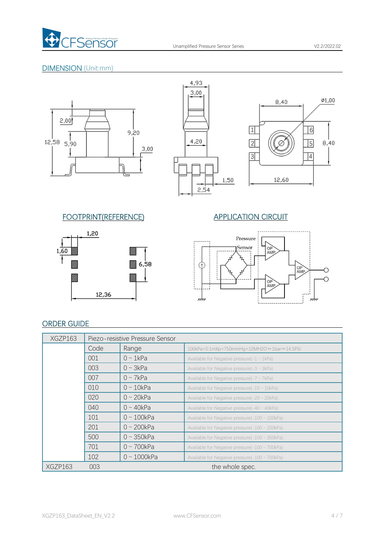

## DIMENSION (Unit:mm)







## FOOTPRINT(REFERENCE) APPLICATION CIRCUIT





## ORDER GUIDE

| XGZP163 | Piezo-resistive Pressure Sensor |                   |                                                       |  |  |
|---------|---------------------------------|-------------------|-------------------------------------------------------|--|--|
|         | Code                            | Range             | 100kPa=0.1mKp=750mmHg=10MH2O ≈1bar ≈14.5PSI           |  |  |
|         | 001                             | $0 \sim 1$ kPa    | Available for Negative pressure( $-1 \sim 1$ kPa)     |  |  |
|         | 003                             | $0 \sim 3kPa$     | Available for Negative pressure( $-3 \sim 3kPa$ )     |  |  |
|         | 007                             | $0 \sim 7kPa$     | Available for Negative pressure( $-7 \sim 7$ kPa)     |  |  |
|         | 010                             | $0 \sim 10$ kPa   | Available for Negative pressure( $-10 \sim 10kPa$ )   |  |  |
|         | 020                             | $0 \sim 20$ kPa   | Available for Negative pressure( $-20 \sim 20$ kPa)   |  |  |
|         | 040                             | $0 \sim 40$ kPa   | Available for Negative pressure( $-40 \sim 40kPa$ )   |  |  |
|         | 101                             | $0 \sim 100$ kPa  | Available for Negative pressure( $-100 \sim 100$ kPa) |  |  |
|         | 201                             | $0 \sim 200$ kPa  | Available for Negative pressure( $-100 \sim 200$ kPa) |  |  |
|         | 500                             | $0 \sim 350$ kPa  | Available for Negative pressure( $-100 \sim 350$ kPa) |  |  |
|         | 701                             | $0 - 700kPa$      | Available for Negative pressure( $-100 \sim 700$ kPa) |  |  |
|         | 102                             | $0 \sim 1000$ kPa | Available for Negative pressure( $-100 \sim 700$ kPa) |  |  |
| XGZP163 | 003                             |                   | the whole spec.                                       |  |  |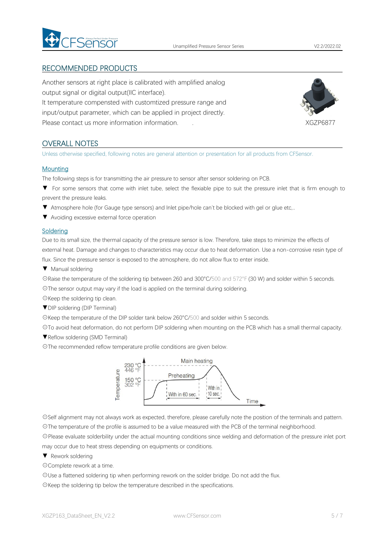

## RECOMMENDED PRODUCTS

Another sensors at right place is calibrated with amplified analog output signal or digital output(IIC interface). It temperature compensted with customtized pressure range and input/output parameter, which can be applied in project directly. Please contact us more information information. . XGZP6877



## OVERALL NOTES

Unless otherwise specified, following notes are general attention or presentation for all products from CFSensor.

#### **Mounting**

The following steps is for transmitting the air pressure to sensor after sensor soldering on PCB.

- ▼ For some sensors that come with inlet tube, select the flexiable pipe to suit the pressure inlet that is firm enough to prevent the pressure leaks.
- ▼ Atmosphere hole (for Gauge type sensors) and Inlet pipe/hole can't be blocked with gel or glue etc,..
- ▼ Avoiding excessive external force operation

#### **Soldering**

Due to its small size, the thermal capacity of the pressure sensor is low. Therefore, take steps to minimize the effects of external heat. Damage and changes to characteristics may occur due to heat deformation. Use a non-corrosive resin type of flux. Since the pressure sensor is exposed to the atmosphere, do not allow flux to enter inside.

▼ Manual soldering

☉Raise the temperature of the soldering tip between 260 and 300°C/500 and 572°F (30 W) and solder within 5 seconds.

☉The sensor output may vary if the load is applied on the terminal during soldering.

☉Keep the soldering tip clean.

▼DIP soldering (DIP Terminal)

☉Keep the temperature of the DIP solder tank below 260°C/500 and solder within 5 seconds.

☉To avoid heat deformation, do not perform DIP soldering when mounting on the PCB which has a small thermal capacity.

▼Reflow soldering (SMD Terminal)

☉The recommended reflow temperature profile conditions are given below.



☉Self alignment may not always work as expected, therefore, please carefully note the position of the terminals and pattern. ☉The temperature of the profile is assumed to be a value measured with the PCB of the terminal neighborhood.

☉Please evaluate solderbility under the actual mounting conditions since welding and deformation of the pressure inlet port may occur due to heat stress depending on equipments or conditions.

▼ Rework soldering

☉Complete rework at a time.

☉Use a flattened soldering tip when performing rework on the solder bridge. Do not add the flux.

☉Keep the soldering tip below the temperature described in the specifications.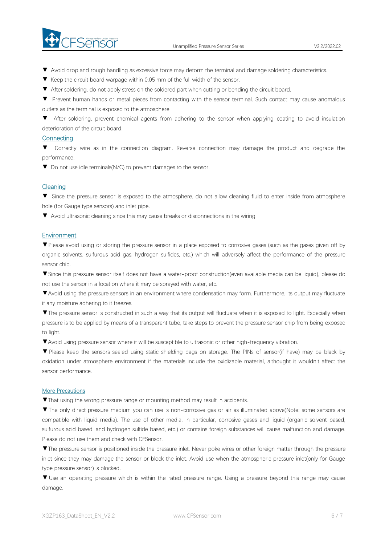

- ▼ Avoid drop and rough handling as excessive force may deform the terminal and damage soldering characteristics.
- 
- ▼ Keep the circuit board warpage within 0.05 mm of the full width of the sensor.<br>▼ After soldering, do not apply stress on the soldered part when cutting or bending the circuit board.
- ▼ Prevent human hands or metal pieces from contacting with the sensor terminal. Such contact may cause anomalous outlets as the terminal is exposed to the atmosphere.

▼ After soldering, prevent chemical agents from adhering to the sensor when applying coating to avoid insulation deterioration of the circuit board.

#### **Connecting**

▼ Correctly wire as in the connection diagram. Reverse connection may damage the product and degrade the performance.

▼ Do not use idle terminals(N/C) to prevent damages to the sensor.

#### Cleaning

▼ Since the pressure sensor is exposed to the atmosphere, do not allow cleaning fluid to enter inside from atmosphere hole (for Gauge type sensors) and inlet pipe.

▼ Avoid ultrasonic cleaning since this may cause breaks or disconnections in the wiring.

#### **Environment**

▼Please avoid using or storing the pressure sensor in a place exposed to corrosive gases (such as the gases given off by organic solvents, sulfurous acid gas, hydrogen sulfides, etc.) which will adversely affect the performance of the pressure sensor chip.

▼Since this pressure sensor itself does not have a water-proof construction(even available media can be liquid), please do not use the sensor in alocation where it may be sprayed with water, etc.

▼Avoid using the pressure sensors in an environment where condensation may form. Furthermore, its output may fluctuate if any moisture adhering to it freezes.

▼The pressure sensor is constructed in such a way that its output will fluctuate when it is exposed to light. Especially when pressure is to be applied by means of a transparent tube, take steps to prevent the pressure sensor chip from being exposed to light.

▼Avoid using pressure sensor where it will be susceptible to ultrasonic or other high-frequency vibration.

▼ Please keep the sensors sealed using static shielding bags on storage. The PINs of sensor(if have) may be black by oxidation under atmosphere environment if the materials include the oxidizable material, althought it wouldn't affect the sensor performance.

#### More Precautions

▼That using the wrong pressure range or mounting method mayresult in accidents.

▼The only direct pressure medium you can use is non-corrosive gas or air as illuminated above(Note: some sensors are compatible with liquid media). The use of other media, in particular, corrosive gases and liquid (organic solvent based, sulfurous acid based, and hydrogen sulfide based, etc.) or contains foreign substances will cause malfunction and damage.<br>Please do not use them and check with CFSensor.

▼The pressure sensor is positioned inside the pressure inlet. Never poke wires orother foreign matter through the pressure inlet since they may damage the sensor or block the inlet. Avoid use when the atmospheric pressure inlet(only for Gauge type pressure sensor) is blocked.

▼ Use an operating pressure which is within the rated pressure range. Using a pressure beyond this range may cause damage.